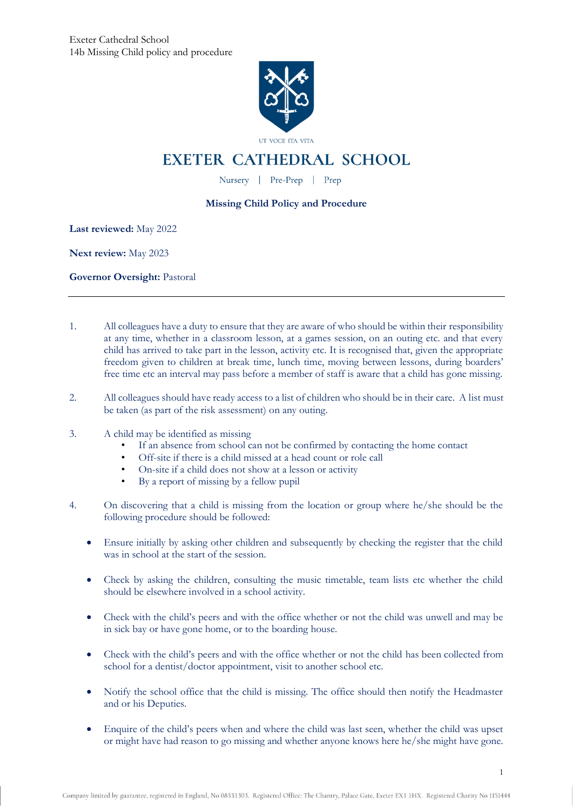

## **EXETER CATHEDRAL SCHOOL**

Nursery | Pre-Prep | Prep

## **Missing Child Policy and Procedure**

**Last reviewed:** May 2022

**Next review:** May 2023

**Governor Oversight:** Pastoral

- 1. All colleagues have a duty to ensure that they are aware of who should be within their responsibility at any time, whether in a classroom lesson, at a games session, on an outing etc. and that every child has arrived to take part in the lesson, activity etc. It is recognised that, given the appropriate freedom given to children at break time, lunch time, moving between lessons, during boarders' free time etc an interval may pass before a member of staff is aware that a child has gone missing.
- 2. All colleagues should have ready access to a list of children who should be in their care. A list must be taken (as part of the risk assessment) on any outing.
- 3. A child may be identified as missing
	- If an absence from school can not be confirmed by contacting the home contact
	- Off-site if there is a child missed at a head count or role call
	- On-site if a child does not show at a lesson or activity
	- By a report of missing by a fellow pupil
- 4. On discovering that a child is missing from the location or group where he/she should be the following procedure should be followed:
	- Ensure initially by asking other children and subsequently by checking the register that the child was in school at the start of the session.
	- Check by asking the children, consulting the music timetable, team lists etc whether the child should be elsewhere involved in a school activity.
	- Check with the child's peers and with the office whether or not the child was unwell and may be in sick bay or have gone home, or to the boarding house.
	- Check with the child's peers and with the office whether or not the child has been collected from school for a dentist/doctor appointment, visit to another school etc.
	- Notify the school office that the child is missing. The office should then notify the Headmaster and or his Deputies.
	- Enquire of the child's peers when and where the child was last seen, whether the child was upset or might have had reason to go missing and whether anyone knows here he/she might have gone.